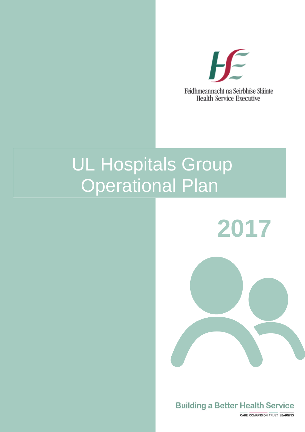

# UL Hospitals Group Operational Plan

**2017**



CARE COMPASSION TRUST LEARNING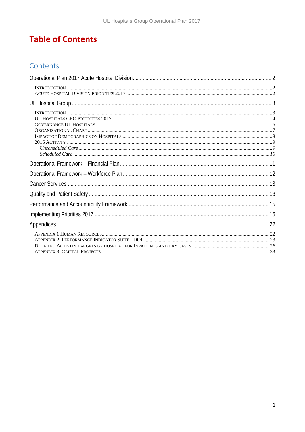## **Table of Contents**

### Contents

<span id="page-1-0"></span>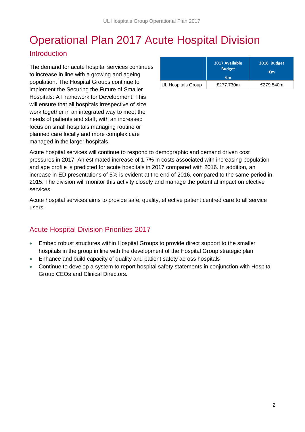## Operational Plan 2017 Acute Hospital Division

### <span id="page-2-0"></span>**Introduction**

The demand for acute hospital services continues to increase in line with a growing and ageing population. The Hospital Groups continue to implement the Securing the Future of Smaller Hospitals: A Framework for Development. This will ensure that all hospitals irrespective of size work together in an integrated way to meet the needs of patients and staff, with an increased focus on small hospitals managing routine or planned care locally and more complex care managed in the larger hospitals.

|                           | 2017 Available<br><b>Budget</b><br>€m | 2016 Budget<br>€m |
|---------------------------|---------------------------------------|-------------------|
| <b>UL Hospitals Group</b> | €277.730m                             | €279.540m         |

Acute hospital services will continue to respond to demographic and demand driven cost pressures in 2017. An estimated increase of 1.7% in costs associated with increasing population and age profile is predicted for acute hospitals in 2017 compared with 2016. In addition, an increase in ED presentations of 5% is evident at the end of 2016, compared to the same period in 2015. The division will monitor this activity closely and manage the potential impact on elective services.

Acute hospital services aims to provide safe, quality, effective patient centred care to all service users.

### <span id="page-2-1"></span>Acute Hospital Division Priorities 2017

- Embed robust structures within Hospital Groups to provide direct support to the smaller hospitals in the group in line with the development of the Hospital Group strategic plan
- Enhance and build capacity of quality and patient safety across hospitals
- <span id="page-2-2"></span>• Continue to develop a system to report hospital safety statements in conjunction with Hospital Group CEOs and Clinical Directors.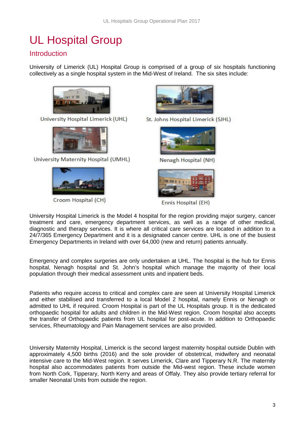## UL Hospital Group

### <span id="page-3-0"></span>**Introduction**

University of Limerick (UL) Hospital Group is comprised of a group of six hospitals functioning collectively as a single hospital system in the Mid-West of Ireland. The six sites include:



University Hospital Limerick (UHL)



University Maternity Hospital (UMHL)



Croom Hospital (CH)



St. Johns Hospital Limerick (SJHL)



Nenagh Hospital (NH)



Ennis Hospital (EH)

University Hospital Limerick is the Model 4 hospital for the region providing major surgery, cancer treatment and care, emergency department services, as well as a range of other medical, diagnostic and therapy services. It is where all critical care services are located in addition to a 24/7/365 Emergency Department and it is a designated cancer centre. UHL is one of the busiest Emergency Departments in Ireland with over 64,000 (new and return) patients annually.

Emergency and complex surgeries are only undertaken at UHL. The hospital is the hub for Ennis hospital, Nenagh hospital and St. John's hospital which manage the majority of their local population through their medical assessment units and inpatient beds.

Patients who require access to critical and complex care are seen at University Hospital Limerick and either stabilised and transferred to a local Model 2 hospital, namely Ennis or Nenagh or admitted to UHL if required. Croom Hospital is part of the UL Hospitals group. It is the dedicated orthopaedic hospital for adults and children in the Mid-West region. Croom hospital also accepts the transfer of Orthopaedic patients from UL hospital for post-acute. In addition to Orthopaedic services, Rheumatology and Pain Management services are also provided.

University Maternity Hospital, Limerick is the second largest maternity hospital outside Dublin with approximately 4,500 births (2016) and the sole provider of obstetrical, midwifery and neonatal intensive care to the Mid-West region. It serves Limerick, Clare and Tipperary N.R. The maternity hospital also accommodates patients from outside the Mid-west region. These include women from North Cork, Tipperary, North Kerry and areas of Offaly. They also provide tertiary referral for smaller Neonatal Units from outside the region.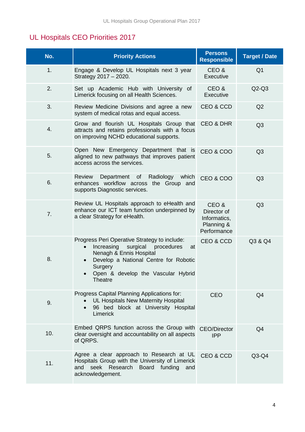## <span id="page-4-0"></span>UL Hospitals CEO Priorities 2017

| No. | <b>Priority Actions</b>                                                                                                                                                                                              | <b>Persons</b><br><b>Responsible</b>                             | <b>Target / Date</b> |
|-----|----------------------------------------------------------------------------------------------------------------------------------------------------------------------------------------------------------------------|------------------------------------------------------------------|----------------------|
| 1.  | Engage & Develop UL Hospitals next 3 year<br>Strategy 2017 - 2020.                                                                                                                                                   | CEO &<br>Executive                                               | Q <sub>1</sub>       |
| 2.  | Set up Academic Hub with University of<br>Limerick focusing on all Health Sciences.                                                                                                                                  | CEO&<br>Executive                                                | $Q2-Q3$              |
| 3.  | Review Medicine Divisions and agree a new<br>system of medical rotas and equal access.                                                                                                                               | CEO & CCD                                                        | Q2                   |
| 4.  | Grow and flourish UL Hospitals Group that<br>attracts and retains professionals with a focus<br>on improving NCHD educational supports.                                                                              | <b>CEO &amp; DHR</b>                                             | Q <sub>3</sub>       |
| 5.  | Open New Emergency Department that is<br>aligned to new pathways that improves patient<br>access across the services.                                                                                                | CEO & COO                                                        | Q3                   |
| 6.  | Review<br>Department of<br>Radiology<br>which<br>enhances workflow across the Group and<br>supports Diagnostic services.                                                                                             | CEO & COO                                                        | Q <sub>3</sub>       |
| 7.  | Review UL Hospitals approach to eHealth and<br>enhance our ICT team function underpinned by<br>a clear Strategy for eHealth.                                                                                         | CEO&<br>Director of<br>Informatics,<br>Planning &<br>Performance | Q <sub>3</sub>       |
| 8.  | Progress Peri Operative Strategy to include:<br>Increasing surgical procedures<br>at<br>Nenagh & Ennis Hospital<br>Develop a National Centre for Robotic<br>Surgery<br>Open & develop the Vascular Hybrid<br>Theatre | CEO & CCD                                                        | Q3 & Q4              |
| 9.  | Progress Capital Planning Applications for:<br><b>UL Hospitals New Maternity Hospital</b><br>96 bed block at University Hospital<br>$\bullet$<br>Limerick                                                            | <b>CEO</b>                                                       | Q4                   |
| 10. | Embed QRPS function across the Group with<br>clear oversight and accountability on all aspects<br>of QRPS.                                                                                                           | <b>CEO/Director</b><br><b>IPP</b>                                | Q <sub>4</sub>       |
| 11. | Agree a clear approach to Research at UL<br>Hospitals Group with the University of Limerick<br>seek Research Board funding<br>and<br>and<br>acknowledgement.                                                         | CEO & CCD                                                        | $Q3-Q4$              |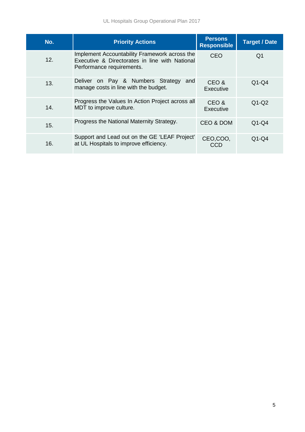| No. | <b>Priority Actions</b>                                                                                                      | <b>Persons</b><br><b>Responsible</b> | <b>Target / Date</b> |
|-----|------------------------------------------------------------------------------------------------------------------------------|--------------------------------------|----------------------|
| 12. | Implement Accountability Framework across the<br>Executive & Directorates in line with National<br>Performance requirements. | CEO                                  | Q1                   |
| 13. | on Pay & Numbers Strategy<br>and<br><b>Deliver</b><br>manage costs in line with the budget.                                  | CEO &<br>Executive                   | $Q1-Q4$              |
| 14. | Progress the Values In Action Project across all<br>MDT to improve culture.                                                  | CEO&<br><b>Executive</b>             | $Q1-Q2$              |
| 15. | Progress the National Maternity Strategy.                                                                                    | CEO & DOM                            | $Q1-Q4$              |
| 16. | Support and Lead out on the GE 'LEAF Project'<br>at UL Hospitals to improve efficiency.                                      | CEO,COO,<br>CCD                      | $Q1-Q4$              |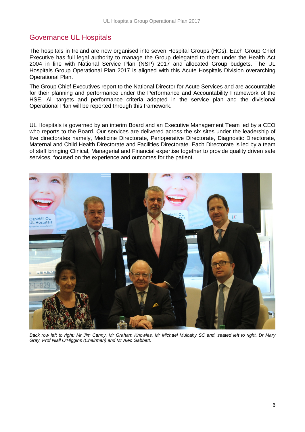### <span id="page-6-0"></span>Governance UL Hospitals

The hospitals in Ireland are now organised into seven Hospital Groups (HGs). Each Group Chief Executive has full legal authority to manage the Group delegated to them under the Health Act 2004 in line with National Service Plan (NSP) 2017 and allocated Group budgets. The UL Hospitals Group Operational Plan 2017 is aligned with this Acute Hospitals Division overarching Operational Plan.

The Group Chief Executives report to the National Director for Acute Services and are accountable for their planning and performance under the Performance and Accountability Framework of the HSE. All targets and performance criteria adopted in the service plan and the divisional Operational Plan will be reported through this framework.

UL Hospitals is governed by an interim Board and an Executive Management Team led by a CEO who reports to the Board. Our services are delivered across the six sites under the leadership of five directorates namely, Medicine Directorate, Perioperative Directorate, Diagnostic Directorate, Maternal and Child Health Directorate and Facilities Directorate. Each Directorate is led by a team of staff bringing Clinical, Managerial and Financial expertise together to provide quality driven safe services, focused on the experience and outcomes for the patient.



*Back row left to right: Mr Jim Canny, Mr Graham Knowles, Mr Michael Mulcahy SC and, seated left to right, Dr Mary Gray, Prof Niall O'Higgins (Chairman) and Mr Alec Gabbett.*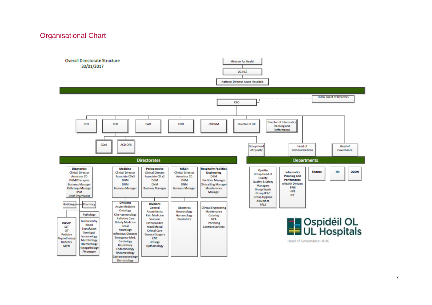#### Organisational Chart

<span id="page-7-0"></span>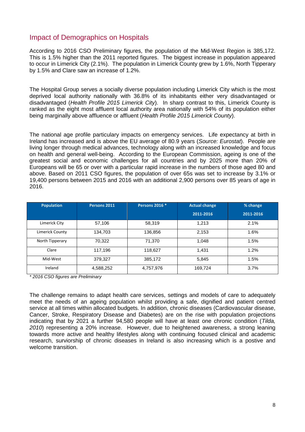### <span id="page-8-0"></span>Impact of Demographics on Hospitals

According to 2016 CSO Preliminary figures, the population of the Mid-West Region is 385,172. This is 1.5% higher than the 2011 reported figures. The biggest increase in population appeared to occur in Limerick City (2.1%). The population in Limerick County grew by 1.6%, North Tipperary by 1.5% and Clare saw an increase of 1.2%.

The Hospital Group serves a socially diverse population including Limerick City which is the most deprived local authority nationally with 36.8% of its inhabitants either very disadvantaged or disadvantaged (*Health Profile 2015 Limerick City*). In sharp contrast to this, Limerick County is ranked as the eight most affluent local authority area nationally with 54% of its population either being marginally above affluence or affluent (*Health Profile 2015 Limerick County*).

The national age profile particulary impacts on emergency services. Life expectancy at birth in Ireland has increased and is above the EU average of 80.9 years (*Source: Eurostat*). People are living longer through medical advances, technology along with an increased knowledge and focus on health and general well-being. According to the European Commission, ageing is one of the greatest social and economic challenges for all countries and by 2025 more than 20% of Europeans will be 65 or over with a particular rapid increase in the numbers of those aged 80 and above. Based on 2011 CSO figures, the population of over 65s was set to increase by 3.1% or 19,400 persons between 2015 and 2016 with an additional 2,900 persons over 85 years of age in 2016.

| <b>Population</b> | Persons 2011 | Persons 2016 * | <b>Actual change</b> | % change  |
|-------------------|--------------|----------------|----------------------|-----------|
|                   |              |                | 2011-2016            | 2011-2016 |
| Limerick City     | 57,106       | 58,319         | 1,213                | 2.1%      |
| Limerick County   | 134,703      | 136,856        | 2,153                | 1.6%      |
| North Tipperary   | 70,322       | 71,370         | 1,048                | 1.5%      |
| Clare             | 117,196      | 118,627        | 1,431                | 1.2%      |
| Mid-West          | 379,327      | 385,172        | 5,845                | 1.5%      |
| Ireland           | 4,588,252    | 4,757,976      | 169,724              | 3.7%      |

*\* 2016 CSO figures are Preliminary*

The challenge remains to adapt health care services, settings and models of care to adequately meet the needs of an ageing population whilst providing a safe, dignified and patient centred service at all times within allocated budgets. In addition, chronic diseases (Cardiovascular disease, Cancer, Stroke, Respiratory Disease and Diabetes) are on the rise with population projections indicating that by 2021 a further 94,580 people will have at least one chronic condition (*Tilda, 2010*) representing a 20% increase. However, due to heightened awareness, a strong leaning towards more active and healthy lifestyles along with continuing focused clinical and academic research, surviorship of chronic diseases in Ireland is also increasing which is a postive and welcome transition.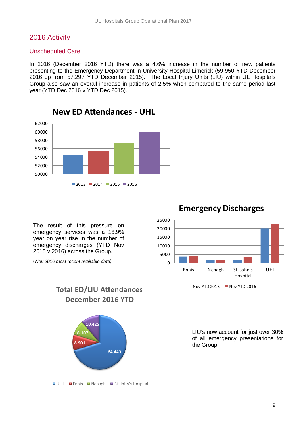#### <span id="page-9-0"></span>2016 Activity

#### <span id="page-9-1"></span>Unscheduled Care

In 2016 (December 2016 YTD) there was a 4.6% increase in the number of new patients presenting to the Emergency Department in University Hospital Limerick (59,950 YTD December 2016 up from 57,297 YTD December 2015). The Local Injury Units (LIU) within UL Hospitals Group also saw an overall increase in patients of 2.5% when compared to the same period last year (YTD Dec 2016 v YTD Dec 2015).



**New ED Attendances - UHL**

The result of this pressure on emergency services was a 16.9% year on year rise in the number of emergency discharges (YTD Nov 2015 v 2016) across the Group.

(*Nov 2016 most recent available data)*





### **Emergency Discharges**

LIU's now account for just over 30% of all emergency presentations for the Group.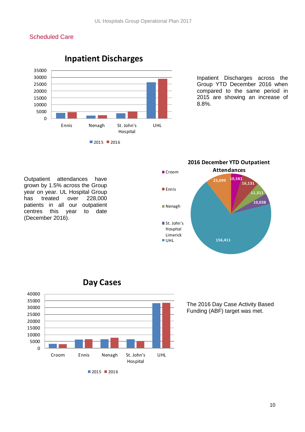#### <span id="page-10-0"></span>Scheduled Care



Inpatient Discharges across the Group YTD December 2016 when compared to the same period in 2015 are showing an increase of 8.8%.

Outpatient attendances have grown by 1.5% across the Group year on year. UL Hospital Group has treated over 228,000 patients in all our outpatient centres this year to date (December 2016).





**Day Cases**

The 2016 Day Case Activity Based Funding (ABF) target was met.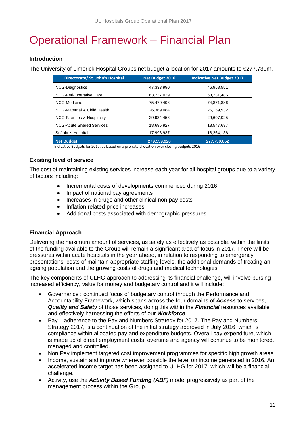## <span id="page-11-0"></span>Operational Framework – Financial Plan

#### **Introduction**

The University of Limerick Hospital Groups net budget allocation for 2017 amounts to €277.730m.

| Directorate/ St. John's Hospital        | <b>Net Budget 2016</b> | <b>Indicative Net Budget 2017</b> |
|-----------------------------------------|------------------------|-----------------------------------|
| <b>NCG-Diagnostics</b>                  | 47,333,990             | 46,958,551                        |
| NCG-Peri-Operative Care                 | 63,737,029             | 63,231,486                        |
| NCG-Medicine                            | 75,470,496             | 74,871,886                        |
| NCG-Maternal & Child Health             | 26.369.084             | 26,159,932                        |
| <b>NCG-Facilities &amp; Hospitality</b> | 29,934,456             | 29,697,025                        |
| <b>NCG-Acute Shared Services</b>        | 18,695,927             | 18,547,637                        |
| St John's Hospital                      | 17,998,937             | 18,264,136                        |
| Net Budget                              | 279,539,920            | 277,730,652                       |

Indicative Budgets for 2017, as based on a pro rata allocation over closing budgets 2016

#### **Existing level of service**

The cost of maintaining existing services increase each year for all hospital groups due to a variety of factors including:

- Incremental costs of developments commenced during 2016
- Impact of national pay agreements
- Increases in drugs and other clinical non pay costs
- Inflation related price increases
- Additional costs associated with demographic pressures

#### **Financial Approach**

Delivering the maximum amount of services, as safely as effectively as possible, within the limits of the funding available to the Group will remain a significant area of focus in 2017. There will be pressures within acute hospitals in the year ahead, in relation to responding to emergency presentations, costs of maintain appropriate staffing levels, the additional demands of treating an ageing population and the growing costs of drugs and medical technologies.

The key components of ULHG approach to addressing its financial challenge, will involve pursing increased efficiency, value for money and budgetary control and it will include:

- Governance : continued focus of budgetary control through the Performance and Accountability Framework, which spans across the four domains of *Access* to services, *Quality and Safety* of those services, doing this within the *Financial* resources available and effectively harnessing the efforts of our *Workforce*
- Pay adherence to the Pay and Numbers Strategy for 2017. The Pay and Numbers Strategy 2017, is a continuation of the initial strategy approved in July 2016, which is compliance within allocated pay and expenditure budgets. Overall pay expenditure, which is made up of direct employment costs, overtime and agency will continue to be monitored, managed and controlled.
- Non Pay implement targeted cost improvement programmes for specific high growth areas
- Income, sustain and improve wherever possible the level on income generated in 2016. An accelerated income target has been assigned to ULHG for 2017, which will be a financial challenge.
- Activity, use the *Activity Based Funding (ABF)* model progressively as part of the management process within the Group.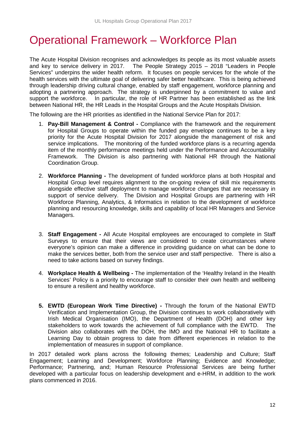## <span id="page-12-0"></span>Operational Framework – Workforce Plan

The Acute Hospital Division recognises and acknowledges its people as its most valuable assets and key to service delivery in 2017. The People Strategy 2015 – 2018 "Leaders in People Services" underpins the wider health reform. It focuses on people services for the whole of the health services with the ultimate goal of delivering safer better healthcare. This is being achieved through leadership driving cultural change, enabled by staff engagement, workforce planning and adopting a partnering approach. The strategy is underpinned by a commitment to value and support the workforce. In particular, the role of HR Partner has been established as the link between National HR, the HR Leads in the Hospital Groups and the Acute Hospitals Division.

The following are the HR priorities as identified in the National Service Plan for 2017:

- 1. **Pay-Bill Management & Control -** Compliance with the framework and the requirement for Hospital Groups to operate within the funded pay envelope continues to be a key priority for the Acute Hospital Division for 2017 alongside the management of risk and service implications. The monitoring of the funded workforce plans is a recurring agenda item of the monthly performance meetings held under the Performance and Accountability Framework. The Division is also partnering with National HR through the National Coordination Group.
- 2. **Workforce Planning -** The development of funded workforce plans at both Hospital and Hospital Group level requires alignment to the on-going review of skill mix requirements alongside effective staff deployment to manage workforce changes that are necessary in support of service delivery. The Division and Hospital Groups are partnering with HR Workforce Planning, Analytics, & Informatics in relation to the development of workforce planning and resourcing knowledge, skills and capability of local HR Managers and Service Managers.
- 3. **Staff Engagement -** All Acute Hospital employees are encouraged to complete in Staff Surveys to ensure that their views are considered to create circumstances where everyone's opinion can make a difference in providing guidance on what can be done to make the services better, both from the service user and staff perspective. There is also a need to take actions based on survey findings.
- 4. **Workplace Health & Wellbeing -** The implementation of the 'Healthy Ireland in the Health Services' Policy is a priority to encourage staff to consider their own health and wellbeing to ensure a resilient and healthy workforce.
- **5. EWTD (European Work Time Directive) -** Through the forum of the National EWTD Verification and Implementation Group, the Division continues to work collaboratively with Irish Medical Organisation (IMO), the Department of Health (DOH) and other key stakeholders to work towards the achievement of full compliance with the EWTD. The Division also collaborates with the DOH, the IMO and the National HR to facilitate a Learning Day to obtain progress to date from different experiences in relation to the implementation of measures in support of compliance.

In 2017 detailed work plans across the following themes; Leadership and Culture; Staff Engagement; Learning and Development; Workforce Planning; Evidence and Knowledge; Performance; Partnering, and; Human Resource Professional Services are being further developed with a particular focus on leadership development and e-HRM, in addition to the work plans commenced in 2016.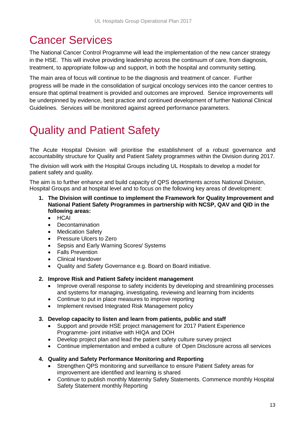## <span id="page-13-0"></span>Cancer Services

The National Cancer Control Programme will lead the implementation of the new cancer strategy in the HSE. This will involve providing leadership across the continuum of care, from diagnosis, treatment, to appropriate follow-up and support, in both the hospital and community setting.

The main area of focus will continue to be the diagnosis and treatment of cancer. Further progress will be made in the consolidation of surgical oncology services into the cancer centres to ensure that optimal treatment is provided and outcomes are improved. Service improvements will be underpinned by evidence, best practice and continued development of further National Clinical Guidelines. Services will be monitored against agreed performance parameters.

## <span id="page-13-1"></span>Quality and Patient Safety

The Acute Hospital Division will prioritise the establishment of a robust governance and accountability structure for Quality and Patient Safety programmes within the Division during 2017.

The division will work with the Hospital Groups including UL Hospitals to develop a model for patient safety and quality.

The aim is to further enhance and build capacity of QPS departments across National Division, Hospital Groups and at hospital level and to focus on the following key areas of development:

- **1. The Division will continue to implement the Framework for Quality Improvement and National Patient Safety Programmes in partnership with NCSP, QAV and QID in the following areas:**
	- HCAI
	- **Decontamination**
	- **Medication Safety**
	- Pressure Ulcers to Zero
	- Sepsis and Early Warning Scores/ Systems
	- Falls Prevention
	- Clinical Handover
	- Quality and Safety Governance e.g. Board on Board initiative.
- **2. Improve Risk and Patient Safety incident management** 
	- Improve overall response to safety incidents by developing and streamlining processes and systems for managing, investigating, reviewing and learning from incidents
	- Continue to put in place measures to improve reporting
	- Implement revised Integrated Risk Management policy

#### **3. Develop capacity to listen and learn from patients, public and staff**

- Support and provide HSE project management for 2017 Patient Experience Programme- joint initiative with HIQA and DOH
- Develop project plan and lead the patient safety culture survey project
- Continue implementation and embed a culture of Open Disclosure across all services

#### **4. Quality and Safety Performance Monitoring and Reporting**

- Strengthen QPS monitoring and surveillance to ensure Patient Safety areas for improvement are identified and learning is shared
- Continue to publish monthly Maternity Safety Statements. Commence monthly Hospital Safety Statement monthly Reporting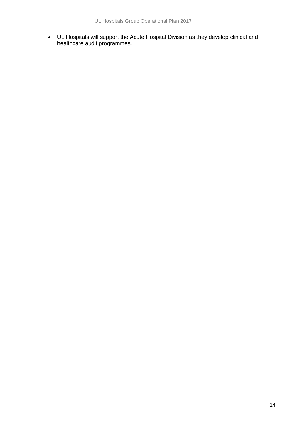• UL Hospitals will support the Acute Hospital Division as they develop clinical and healthcare audit programmes.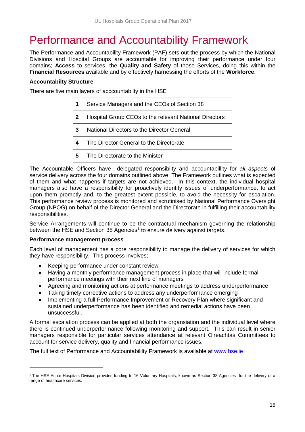## <span id="page-15-0"></span>Performance and Accountability Framework

The Performance and Accountability Framework (PAF) sets out the process by which the National Divisions and Hospital Groups are accountable for improving their performance under four domains; **Access** to services, the **Quality and Safety** of those Services, doing this within the **Financial Resources** available and by effectively harnessing the efforts of the **Workforce**.

#### **Accountabilty Structure**

There are five main layers of acccountabilty in the HSE

|   | Service Managers and the CEOs of Section 38            |
|---|--------------------------------------------------------|
| 2 | Hospital Group CEOs to the relevant National Directors |
| 3 | National Directors to the Director General             |
| 4 | The Director General to the Directorate                |
| 5 | The Directorate to the Minister                        |

The Accountable Officers have delegated responsibilty and accountabillity for *all aspects* of service delivery across the four domains outlined above. The Framework outlines what is expected of them and what happens if targets are not achieved. In this context, the individual hospital managers also have a responsibility for proactively identify issues of underperformance, to act upon them promptly and, to the greatest extent possible, to avoid the necessity for escalation. This performance review process is monitored and scrutinised by National Performance Oversight Group (NPOG) on behalf of the Director General and the Directorate in fulfilling their accountability responsibilities.

Service Arrangements will continue to be the contractual mechanism governing the relationship between the HSE and Section 38 Agencies<sup>[1](#page-15-2)</sup> to ensure delivery against targets.

#### **Performance management process**

 $\overline{a}$ 

Each level of management has a core responsibility to manage the delivery of services for which they have responsibility. This process involves;

- Keeping performance under constant review
- Having a monthly performance management process in place that will include formal performance meetings with their next line of managers
- Agreeing and monitoring actions at performance meetings to address underperformance
- Taking timely corrective actions to address any underperformance emerging
- <span id="page-15-1"></span>• Implementing a full Performance Improvement or Recovery Plan where significant and sustained underperformance has been identified and remedial actions have been unsuccessful.

A formal escalation process can be applied at both the organsiation and the individual level where there is continued underperformance following monitoring and support. This can result in senior managers responsible for particular services attendance at relevant Oireachtas Committees to account for service delivery, quality and financial performance issues.

The full text of Performance and Accountabililty Framework is available at [www.hse.ie](http://www.hse.ie/)

<span id="page-15-2"></span><sup>&</sup>lt;sup>1</sup> The HSE Acute Hospitals Division provides funding to 16 Voluntary Hospitals, known as Section 38 Agencies for the delivery of a range of healthcare services.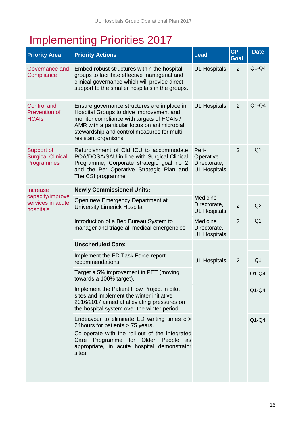## Implementing Priorities 2017

| <b>Priority Area</b>                                       | <b>Priority Actions</b>                                                                                                                                                                                                                                       | <b>Lead</b>                                               | <b>CP</b><br>Goal | <b>Date</b>    |
|------------------------------------------------------------|---------------------------------------------------------------------------------------------------------------------------------------------------------------------------------------------------------------------------------------------------------------|-----------------------------------------------------------|-------------------|----------------|
| Governance and<br>Compliance                               | Embed robust structures within the hospital<br>groups to facilitate effective managerial and<br>clinical governance which will provide direct<br>support to the smaller hospitals in the groups.                                                              | <b>UL Hospitals</b>                                       | $\overline{2}$    | $Q1-Q4$        |
| <b>Control and</b><br><b>Prevention of</b><br><b>HCAIs</b> | Ensure governance structures are in place in<br>Hospital Groups to drive improvement and<br>monitor compliance with targets of HCAIs /<br>AMR with a particular focus on antimicrobial<br>stewardship and control measures for multi-<br>resistant organisms. | <b>UL Hospitals</b>                                       | $\overline{2}$    | $Q1-Q4$        |
| Support of<br><b>Surgical Clinical</b><br>Programmes       | Refurbishment of Old ICU to accommodate<br>POA/DOSA/SAU in line with Surgical Clinical<br>Programme, Corporate strategic goal no 2<br>and the Peri-Operative Strategic Plan and<br>The CSI programme                                                          | Peri-<br>Operative<br>Directorate,<br><b>UL Hospitals</b> | $\overline{2}$    | Q <sub>1</sub> |
| Increase                                                   | <b>Newly Commissioned Units:</b>                                                                                                                                                                                                                              |                                                           |                   |                |
| capacity/improve<br>services in acute<br>hospitals         | Open new Emergency Department at<br><b>University Limerick Hospital</b>                                                                                                                                                                                       | Medicine<br>Directorate,<br><b>UL Hospitals</b>           | $\overline{2}$    | Q2             |
|                                                            | Introduction of a Bed Bureau System to<br>manager and triage all medical emergencies                                                                                                                                                                          | Medicine<br>Directorate,<br><b>UL Hospitals</b>           | $\overline{2}$    | Q <sub>1</sub> |
|                                                            | <b>Unscheduled Care:</b>                                                                                                                                                                                                                                      |                                                           |                   |                |
|                                                            | Implement the ED Task Force report<br>recommendations                                                                                                                                                                                                         | <b>UL Hospitals</b>                                       | $\overline{2}$    | Q <sub>1</sub> |
|                                                            | Target a 5% improvement in PET (moving<br>towards a 100% target).                                                                                                                                                                                             |                                                           |                   | $Q1-Q4$        |
|                                                            | Implement the Patient Flow Project in pilot<br>sites and implement the winter initiative<br>2016/2017 aimed at alleviating pressures on<br>the hospital system over the winter period.                                                                        |                                                           |                   | $Q1-Q4$        |
|                                                            | Endeavour to eliminate ED waiting times of><br>24 hours for patients > 75 years.<br>Co-operate with the roll-out of the Integrated<br>Care Programme for Older People<br>as<br>appropriate, in acute hospital demonstrator<br>sites                           |                                                           |                   | $Q1-Q4$        |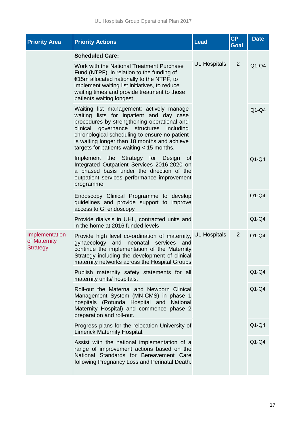| <b>Priority Area</b>                              | <b>Priority Actions</b>                                                                                                                                                                                                                                                                                                         | Lead                | CP<br>Goal     | <b>Date</b> |
|---------------------------------------------------|---------------------------------------------------------------------------------------------------------------------------------------------------------------------------------------------------------------------------------------------------------------------------------------------------------------------------------|---------------------|----------------|-------------|
|                                                   | <b>Scheduled Care:</b>                                                                                                                                                                                                                                                                                                          |                     |                |             |
|                                                   | Work with the National Treatment Purchase<br>Fund (NTPF), in relation to the funding of<br>€15m allocated nationally to the NTPF, to<br>implement waiting list initiatives, to reduce<br>waiting times and provide treatment to those<br>patients waiting longest                                                               | <b>UL Hospitals</b> | 2              | $Q1-Q4$     |
|                                                   | Waiting list management: actively manage<br>waiting lists for inpatient and day case<br>procedures by strengthening operational and<br>clinical governance structures including<br>chronological scheduling to ensure no patient<br>is waiting longer than 18 months and achieve<br>targets for patients waiting $<$ 15 months. |                     |                | $Q1-Q4$     |
|                                                   | Implement the Strategy for Design<br>0f<br>Integrated Outpatient Services 2016-2020 on<br>a phased basis under the direction of the<br>outpatient services performance improvement<br>programme.                                                                                                                                |                     |                | $Q1-Q4$     |
|                                                   | Endoscopy Clinical Programme to develop<br>guidelines and provide support to improve<br>access to GI endoscopy                                                                                                                                                                                                                  |                     |                | $Q1-Q4$     |
|                                                   | Provide dialysis in UHL, contracted units and<br>in the home at 2016 funded levels                                                                                                                                                                                                                                              |                     |                | $Q1-Q4$     |
| Implementation<br>of Maternity<br><b>Strategy</b> | Provide high level co-ordination of maternity,<br>neonatal<br>gynaecology<br>and<br>services<br>and<br>continue the implementation of the Maternity<br>Strategy including the development of clinical<br>maternity networks across the Hospital Groups                                                                          | <b>UL Hospitals</b> | $\overline{2}$ | $Q1-Q4$     |
|                                                   | Publish maternity safety statements for all<br>maternity units/ hospitals.                                                                                                                                                                                                                                                      |                     |                | $Q1-Q4$     |
|                                                   | Roll-out the Maternal and Newborn Clinical<br>Management System (MN-CMS) in phase 1<br>hospitals (Rotunda Hospital and National<br>Maternity Hospital) and commence phase 2<br>preparation and roll-out.                                                                                                                        |                     |                | $Q1-Q4$     |
|                                                   | Progress plans for the relocation University of<br>Limerick Maternity Hospital.                                                                                                                                                                                                                                                 |                     |                | $Q1-Q4$     |
|                                                   | Assist with the national implementation of a<br>range of improvement actions based on the<br>National Standards for Bereavement Care<br>following Pregnancy Loss and Perinatal Death.                                                                                                                                           |                     |                | $Q1-Q4$     |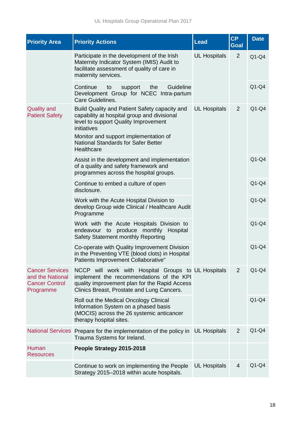| <b>Priority Area</b>                                                             | <b>Priority Actions</b>                                                                                                                                                                                                                                  | Lead                | <b>CP</b><br><b>Goal</b> | <b>Date</b> |
|----------------------------------------------------------------------------------|----------------------------------------------------------------------------------------------------------------------------------------------------------------------------------------------------------------------------------------------------------|---------------------|--------------------------|-------------|
|                                                                                  | Participate in the development of the Irish<br>Maternity Indicator System (IMIS) Audit to<br>facilitate assessment of quality of care in<br>maternity services.                                                                                          | <b>UL Hospitals</b> | $\overline{2}$           | $Q1-Q4$     |
|                                                                                  | Continue<br>Guideline<br>support<br>the<br>to<br>Development Group for NCEC Intra-partum<br>Care Guidelines.                                                                                                                                             |                     |                          | $Q1-Q4$     |
| <b>Quality and</b><br><b>Patient Safety</b>                                      | Build Quality and Patient Safety capacity and<br>capability at hospital group and divisional<br>level to support Quality Improvement<br>initiatives<br>Monitor and support implementation of<br><b>National Standards for Safer Better</b><br>Healthcare | <b>UL Hospitals</b> | 2                        | $Q1-Q4$     |
|                                                                                  | Assist in the development and implementation<br>of a quality and safety framework and<br>programmes across the hospital groups.                                                                                                                          |                     |                          | $Q1-Q4$     |
|                                                                                  | Continue to embed a culture of open<br>disclosure.                                                                                                                                                                                                       |                     |                          | $Q1-Q4$     |
|                                                                                  | Work with the Acute Hospital Division to<br>develop Group wide Clinical / Healthcare Audit<br>Programme                                                                                                                                                  |                     |                          | $Q1-Q4$     |
|                                                                                  | Work with the Acute Hospitals Division to<br>to produce monthly Hospital<br>endeavour<br>Safety Statement monthly Reporting                                                                                                                              |                     |                          | $Q1-Q4$     |
|                                                                                  | Co-operate with Quality Improvement Division<br>in the Preventing VTE (blood clots) in Hospital<br>Patients Improvement Collaborative"                                                                                                                   |                     |                          | $Q1-Q4$     |
| <b>Cancer Services</b><br>and the National<br><b>Cancer Control</b><br>Programme | NCCP will work with Hospital Groups to UL Hospitals<br>implement the recommendations of the KPI<br>quality improvement plan for the Rapid Access<br>Clinics Breast, Prostate and Lung Cancers.                                                           |                     | 2                        | $Q1-Q4$     |
|                                                                                  | Roll out the Medical Oncology Clinical<br>Information System on a phased basis<br>(MOCIS) across the 26 systemic anticancer<br>therapy hospital sites.                                                                                                   |                     |                          | $Q1-Q4$     |
|                                                                                  | National Services Prepare for the implementation of the policy in<br>Trauma Systems for Ireland.                                                                                                                                                         | <b>UL Hospitals</b> | 2                        | $Q1-Q4$     |
| Human<br><b>Resources</b>                                                        | People Strategy 2015-2018                                                                                                                                                                                                                                |                     |                          |             |
|                                                                                  | Continue to work on implementing the People<br>Strategy 2015-2018 within acute hospitals.                                                                                                                                                                | <b>UL Hospitals</b> | 4                        | $Q1-Q4$     |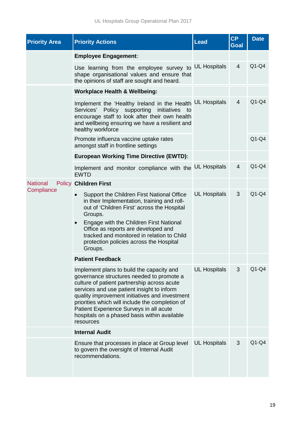| <b>Priority Area</b>          | <b>Priority Actions</b>                                                                                                                                                                                                                                                                                                                                                                          | Lead                | <b>CP</b><br>Goal | <b>Date</b> |
|-------------------------------|--------------------------------------------------------------------------------------------------------------------------------------------------------------------------------------------------------------------------------------------------------------------------------------------------------------------------------------------------------------------------------------------------|---------------------|-------------------|-------------|
|                               | <b>Employee Engagement:</b>                                                                                                                                                                                                                                                                                                                                                                      |                     |                   |             |
|                               | Use learning from the employee survey to<br>shape organisational values and ensure that<br>the opinions of staff are sought and heard.                                                                                                                                                                                                                                                           | <b>UL Hospitals</b> | 4                 | $Q1-Q4$     |
|                               | <b>Workplace Health &amp; Wellbeing:</b>                                                                                                                                                                                                                                                                                                                                                         |                     |                   |             |
|                               | Implement the 'Healthy Ireland in the Health<br>Services'<br>Policy supporting<br>initiatives to<br>encourage staff to look after their own health<br>and wellbeing ensuring we have a resilient and<br>healthy workforce                                                                                                                                                                        | <b>UL Hospitals</b> | $\overline{4}$    | $Q1-Q4$     |
|                               | Promote influenza vaccine uptake rates<br>amongst staff in frontline settings                                                                                                                                                                                                                                                                                                                    |                     |                   | $Q1-Q4$     |
|                               | <b>European Working Time Directive (EWTD):</b>                                                                                                                                                                                                                                                                                                                                                   |                     |                   |             |
|                               | Implement and monitor compliance with the UL Hospitals<br><b>EWTD</b>                                                                                                                                                                                                                                                                                                                            |                     | $\overline{4}$    | $Q1-Q4$     |
| <b>National</b><br>Compliance | <b>Policy Children First</b>                                                                                                                                                                                                                                                                                                                                                                     |                     |                   |             |
|                               | Support the Children First National Office<br>in their Implementation, training and roll-<br>out of 'Children First' across the Hospital<br>Groups.<br>Engage with the Children First National<br>$\bullet$<br>Office as reports are developed and<br>tracked and monitored in relation to Child<br>protection policies across the Hospital<br>Groups.                                           | <b>UL Hospitals</b> | 3                 | $Q1-Q4$     |
|                               | <b>Patient Feedback</b>                                                                                                                                                                                                                                                                                                                                                                          |                     |                   |             |
|                               | Implement plans to build the capacity and<br>governance structures needed to promote a<br>culture of patient partnership across acute<br>services and use patient insight to inform<br>quality improvement initiatives and investment<br>priorities which will include the completion of<br>Patient Experience Surveys in all acute<br>hospitals on a phased basis within available<br>resources | <b>UL Hospitals</b> | 3                 | $Q1-Q4$     |
|                               | <b>Internal Audit</b>                                                                                                                                                                                                                                                                                                                                                                            |                     |                   |             |
|                               | Ensure that processes in place at Group level<br>to govern the oversight of Internal Audit<br>recommendations.                                                                                                                                                                                                                                                                                   | <b>UL Hospitals</b> | 3                 | $Q1-Q4$     |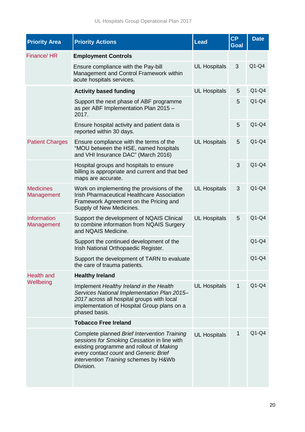| <b>Priority Area</b>           | <b>Priority Actions</b>                                                                                                                                                                                                                | Lead                | <b>CP</b><br>Goal | <b>Date</b> |
|--------------------------------|----------------------------------------------------------------------------------------------------------------------------------------------------------------------------------------------------------------------------------------|---------------------|-------------------|-------------|
| Finance/HR                     | <b>Employment Controls</b>                                                                                                                                                                                                             |                     |                   |             |
|                                | Ensure compliance with the Pay-bill<br>Management and Control Framework within<br>acute hospitals services.                                                                                                                            | <b>UL Hospitals</b> | 3                 | $Q1-Q4$     |
|                                | <b>Activity based funding</b>                                                                                                                                                                                                          | <b>UL Hospitals</b> | 5                 | $Q1-Q4$     |
|                                | Support the next phase of ABF programme<br>as per ABF Implementation Plan 2015 -<br>2017.                                                                                                                                              |                     | 5                 | $Q1-Q4$     |
|                                | Ensure hospital activity and patient data is<br>reported within 30 days.                                                                                                                                                               |                     | 5                 | $Q1-Q4$     |
| <b>Patient Charges</b>         | Ensure compliance with the terms of the<br>"MOU between the HSE, named hospitals<br>and VHI Insurance DAC" (March 2016)                                                                                                                | <b>UL Hospitals</b> | 5                 | $Q1-Q4$     |
|                                | Hospital groups and hospitals to ensure<br>billing is appropriate and current and that bed<br>maps are accurate.                                                                                                                       |                     | 3                 | $Q1-Q4$     |
| <b>Medicines</b><br>Management | Work on implementing the provisions of the<br><b>Irish Pharmaceutical Healthcare Association</b><br>Framework Agreement on the Pricing and<br>Supply of New Medicines.                                                                 | <b>UL Hospitals</b> | 3                 | $Q1-Q4$     |
| Information<br>Management      | Support the development of NQAIS Clinical<br>to combine information from NQAIS Surgery<br>and NQAIS Medicine.                                                                                                                          | <b>UL Hospitals</b> | 5                 | $Q1-Q4$     |
|                                | Support the continued development of the<br>Irish National Orthopaedic Register.                                                                                                                                                       |                     |                   | $Q1-Q4$     |
|                                | Support the development of TARN to evaluate<br>the care of trauma patients.                                                                                                                                                            |                     |                   | $Q1-Q4$     |
| <b>Health and</b>              | <b>Healthy Ireland</b>                                                                                                                                                                                                                 |                     |                   |             |
| Wellbeing                      | Implement Healthy Ireland in the Health<br>Services National Implementation Plan 2015-<br>2017 across all hospital groups with local<br>implementation of Hospital Group plans on a<br>phased basis.                                   | <b>UL Hospitals</b> | $\mathbf{1}$      | $Q1-Q4$     |
|                                | <b>Tobacco Free Ireland</b>                                                                                                                                                                                                            |                     |                   |             |
|                                | Complete planned Brief Intervention Training<br>sessions for Smoking Cessation in line with<br>existing programme and rollout of Making<br>every contact count and Generic Brief<br>intervention Training schemes by H&Wb<br>Division. | <b>UL Hospitals</b> | 1                 | $Q1-Q4$     |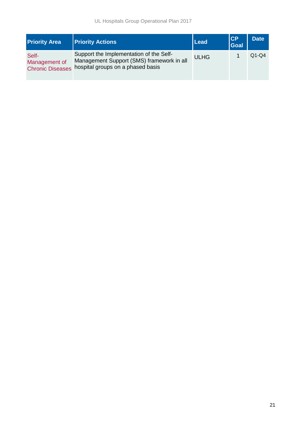| <b>Priority Area</b>                              | <b>Priority Actions</b>                                                                                                   | Lead        | <b>CP</b><br><b>Goal</b> | <b>Date</b> |
|---------------------------------------------------|---------------------------------------------------------------------------------------------------------------------------|-------------|--------------------------|-------------|
| Self-<br>Management of<br><b>Chronic Diseases</b> | Support the Implementation of the Self-<br>Management Support (SMS) framework in all<br>hospital groups on a phased basis | <b>ULHG</b> |                          | $Q1-Q4$     |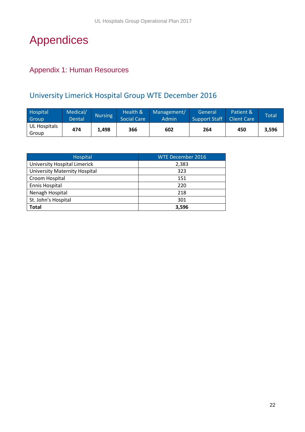## <span id="page-22-0"></span>Appendices

### <span id="page-22-1"></span>Appendix 1: Human Resources

## University Limerick Hospital Group WTE December 2016

| Hospital<br>Group     | Medical/<br>Dental | Nursing | Health &<br><b>Social Care</b> | Management/<br>Admin | General<br>Support Staff | Patient &<br><b>Client Care</b> | Total |
|-----------------------|--------------------|---------|--------------------------------|----------------------|--------------------------|---------------------------------|-------|
| UL Hospitals<br>Group | 474                | 1.498   | 366                            | 602                  | 264                      | 450                             | 3,596 |

<span id="page-22-2"></span>

| Hospital                      | WTE December 2016 |
|-------------------------------|-------------------|
| University Hospital Limerick  | 2,383             |
| University Maternity Hospital | 323               |
| Croom Hospital                | 151               |
| Ennis Hospital                | 220               |
| Nenagh Hospital               | 218               |
| St. John's Hospital           | 301               |
| <b>Total</b>                  | 3,596             |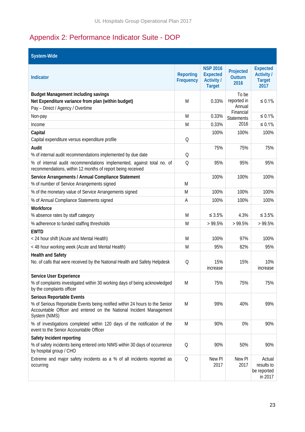## Appendix 2: Performance Indicator Suite - DOP

| System-Wide                                                                                                                                                                                             |                               |                                                                          |                                             |                                                               |
|---------------------------------------------------------------------------------------------------------------------------------------------------------------------------------------------------------|-------------------------------|--------------------------------------------------------------------------|---------------------------------------------|---------------------------------------------------------------|
| Indicator                                                                                                                                                                                               | <b>Reporting</b><br>Frequency | <b>NSP 2016</b><br><b>Expected</b><br><b>Activity /</b><br><b>Target</b> | Projected<br><b>Outturn</b><br>2016         | <b>Expected</b><br><b>Activity /</b><br><b>Target</b><br>2017 |
| <b>Budget Management including savings</b><br>Net Expenditure variance from plan (within budget)<br>Pay - Direct / Agency / Overtime                                                                    | M                             | 0.33%                                                                    | To be<br>reported in<br>Annual<br>Financial | $\leq 0.1\%$                                                  |
| Non-pay                                                                                                                                                                                                 | M                             | 0.33%                                                                    | Statements                                  | $\leq 0.1\%$                                                  |
| Income                                                                                                                                                                                                  | M                             | 0.33%                                                                    | 2016                                        | $\leq 0.1\%$                                                  |
| Capital<br>Capital expenditure versus expenditure profile                                                                                                                                               | Q                             | 100%                                                                     | 100%                                        | 100%                                                          |
| Audit<br>% of internal audit recommendations implemented by due date                                                                                                                                    | Q                             | 75%                                                                      | 75%                                         | 75%                                                           |
| % of internal audit recommendations implemented, against total no. of<br>recommendations, within 12 months of report being received                                                                     | $\Omega$                      | 95%                                                                      | 95%                                         | 95%                                                           |
| Service Arrangements / Annual Compliance Statement<br>% of number of Service Arrangements signed                                                                                                        | M                             | 100%                                                                     | 100%                                        | 100%                                                          |
| % of the monetary value of Service Arrangements signed                                                                                                                                                  | M                             | 100%                                                                     | 100%                                        | 100%                                                          |
| % of Annual Compliance Statements signed                                                                                                                                                                | Α                             | 100%                                                                     | 100%                                        | 100%                                                          |
| Workforce<br>% absence rates by staff category                                                                                                                                                          | M                             | $\leq 3.5\%$                                                             | 4.3%                                        | $\leq 3.5\%$                                                  |
| % adherence to funded staffing thresholds                                                                                                                                                               | M                             | >99.5%                                                                   | >99.5%                                      | >99.5%                                                        |
| <b>EWTD</b><br>< 24 hour shift (Acute and Mental Health)                                                                                                                                                | M                             | 100%                                                                     | 97%                                         | 100%                                                          |
| < 48 hour working week (Acute and Mental Health)                                                                                                                                                        | M                             | 95%                                                                      | 82%                                         | 95%                                                           |
| <b>Health and Safety</b><br>No. of calls that were received by the National Health and Safety Helpdesk                                                                                                  | $\mathsf{Q}$                  | 15%<br>increase                                                          | 15%                                         | 10%<br>increase                                               |
| <b>Service User Experience</b><br>% of complaints investigated within 30 working days of being acknowledged<br>by the complaints officer                                                                | M                             | 75%                                                                      | 75%                                         | 75%                                                           |
| <b>Serious Reportable Events</b><br>% of Serious Reportable Events being notified within 24 hours to the Senior<br>Accountable Officer and entered on the National Incident Management<br>System (NIMS) | M                             | 99%                                                                      | 40%                                         | 99%                                                           |
| % of investigations completed within 120 days of the notification of the<br>event to the Senior Accountable Officer                                                                                     | M                             | 90%                                                                      | 0%                                          | 90%                                                           |
| Safety Incident reporting<br>% of safety incidents being entered onto NIMS within 30 days of occurrence<br>by hospital group / CHO                                                                      | Q                             | 90%                                                                      | 50%                                         | 90%                                                           |
| Extreme and major safety incidents as a % of all incidents reported as<br>occurring                                                                                                                     | $\mathsf{Q}$                  | New PI<br>2017                                                           | New PI<br>2017                              | Actual<br>results to<br>be reported<br>in 2017                |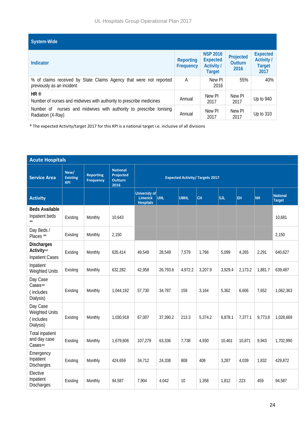| System-Wide                                                                                     |                        |                                                                          |                                     |                                                               |
|-------------------------------------------------------------------------------------------------|------------------------|--------------------------------------------------------------------------|-------------------------------------|---------------------------------------------------------------|
| Indicator                                                                                       | Reporting<br>Frequency | <b>NSP 2016</b><br><b>Expected</b><br><b>Activity /</b><br><b>Target</b> | Projected<br><b>Outturn</b><br>2016 | <b>Expected</b><br><b>Activity /</b><br><b>Target</b><br>2017 |
| % of claims received by State Claims Agency that were not reported<br>previously as an incident | A                      | New PI<br>2016                                                           | 55%                                 | 40%                                                           |
| HR <sup>®</sup><br>Number of nurses and midwives with authority to prescribe medicines          | Annual                 | New PI<br>2017                                                           | New PI<br>2017                      | Up to 940                                                     |
| nurses and midwives with authority to prescribe lonising<br>Number of<br>Radiation (X-Ray)      | Annual                 | New PI<br>2017                                                           | New PI<br>2017                      | Up to 310                                                     |

® The expected Activity/target 2017 for this KPI is a national target i.e. inclusive of all divisions

| <b>Acute Hospitals</b>                                   |                                       |                                      |                                                        |                                                      |          |             |         |         |         |         |                           |
|----------------------------------------------------------|---------------------------------------|--------------------------------------|--------------------------------------------------------|------------------------------------------------------|----------|-------------|---------|---------|---------|---------|---------------------------|
| <b>Service Area</b>                                      | New/<br><b>Existing</b><br><b>KPI</b> | <b>Reporting</b><br><b>Frequency</b> | <b>National</b><br>Projected<br><b>Outturn</b><br>2016 | <b>Expected Activity/ Targets 2017</b>               |          |             |         |         |         |         |                           |
| <b>Activity</b>                                          |                                       |                                      |                                                        | University of<br><b>Limerick</b><br><b>Hospitals</b> | UHL      | <b>UMHL</b> | lсн     | SJL     | EH      | NH      | <b>National</b><br>Target |
| <b>Beds Available</b><br>Inpatient beds                  | Existing                              | Monthly                              | 10,643                                                 |                                                      |          |             |         |         |         |         | 10,681                    |
| Day Beds /<br>Places <sup>**</sup>                       | Existing                              | Monthly                              | 2,150                                                  |                                                      |          |             |         |         |         |         | 2,150                     |
| <b>Discharges</b><br>Activity∞<br><b>Inpatient Cases</b> | Existing                              | Monthly                              | 635,414                                                | 49,549                                               | 28,549   | 7,579       | 1,766   | 5,099   | 4,265   | 2,291   | 640,627                   |
| Inpatient<br>Weighted Units                              | Existing                              | Monthly                              | 632,282                                                | 42,958                                               | 26,793.6 | 4,972.2     | 3,207.9 | 3,929.4 | 2,173.2 | 1,881.7 | 639,487                   |
| Day Case<br>Cases∞<br>(includes<br>Dialysis)             | Existing                              | Monthly                              | 1,044,192                                              | 57,730                                               | 34,787   | 159         | 3,164   | 5,362   | 6,606   | 7,652   | 1,062,363                 |
| Day Case<br>Weighted Units<br>(includes<br>Dialysis)     | Existing                              | Monthly                              | 1,030,918                                              | 67,007                                               | 37,390.2 | 213.3       | 5,374.2 | 6,878.1 | 7,377.1 | 9,773.8 | 1,028,669                 |
| <b>Total inpatient</b><br>and day case<br>Cases $\infty$ | Existing                              | Monthly                              | 1,679,606                                              | 107,279                                              | 63,336   | 7,738       | 4,930   | 10,461  | 10,871  | 9,943   | 1,702,990                 |
| Emergency<br>Inpatient<br>Discharges                     | Existing                              | Monthly                              | 424,659                                                | 34,712                                               | 24,338   | 808         | 408     | 3,287   | 4,039   | 1,832   | 429,872                   |
| Elective<br>Inpatient<br>Discharges                      | Existing                              | Monthly                              | 94,587                                                 | 7,904                                                | 4,042    | 10          | 1,358   | 1,812   | 223     | 459     | 94,587                    |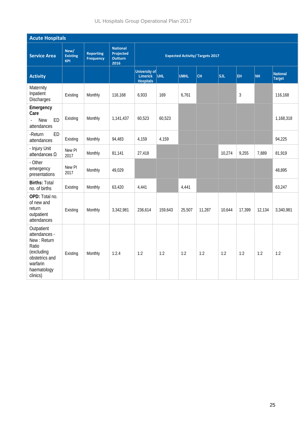UL Hospitals Group Operational Plan 2017

|                                                                                                                            | <b>Acute Hospitals</b>                |                                      |                                                        |                                                      |         |             |        |        |                |           |                           |
|----------------------------------------------------------------------------------------------------------------------------|---------------------------------------|--------------------------------------|--------------------------------------------------------|------------------------------------------------------|---------|-------------|--------|--------|----------------|-----------|---------------------------|
| <b>Service Area</b>                                                                                                        | New/<br><b>Existing</b><br><b>KPI</b> | <b>Reporting</b><br><b>Frequency</b> | <b>National</b><br>Projected<br><b>Outturn</b><br>2016 | <b>Expected Activity/ Targets 2017</b>               |         |             |        |        |                |           |                           |
| <b>Activity</b>                                                                                                            |                                       |                                      |                                                        | University of<br><b>Limerick</b><br><b>Hospitals</b> | UHL     | <b>UMHL</b> | CH     | SJL    | EH             | <b>NH</b> | National<br><b>Target</b> |
| Maternity<br>Inpatient<br>Discharges                                                                                       | Existing                              | Monthly                              | 116,168                                                | 6,933                                                | 169     | 6,761       |        |        | $\mathfrak{Z}$ |           | 116,168                   |
| Emergency<br>Care<br><b>New</b><br>ED<br>attendances                                                                       | Existing                              | Monthly                              | 1,141,437                                              | 60,523                                               | 60,523  |             |        |        |                |           | 1,168,318                 |
| <b>ED</b><br>-Return<br>attendances                                                                                        | Existing                              | Monthly                              | 94,483                                                 | 4,159                                                | 4,159   |             |        |        |                |           | 94,225                    |
| - Injury Unit<br>attendances $\Omega$                                                                                      | New PI<br>2017                        | Monthly                              | 81,141                                                 | 27,418                                               |         |             |        | 10,274 | 9,255          | 7,889     | 81,919                    |
| - Other<br>emergency<br>presentations                                                                                      | New PI<br>2017                        | Monthly                              | 49,029                                                 |                                                      |         |             |        |        |                |           | 48,895                    |
| <b>Births: Total</b><br>no. of births                                                                                      | Existing                              | Monthly                              | 63,420                                                 | 4,441                                                |         | 4,441       |        |        |                |           | 63,247                    |
| OPD: Total no.<br>of new and<br>return<br>outpatient<br>attendances                                                        | Existing                              | Monthly                              | 3,342,981                                              | 236,614                                              | 159,643 | 25,507      | 11,287 | 10,644 | 17,399         | 12,134    | 3,340,981                 |
| Outpatient<br>attendances -<br>New: Return<br>Ratio<br>(excluding<br>obstetrics and<br>warfarin<br>haematology<br>clinics) | Existing                              | Monthly                              | 1:2.4                                                  | 1:2                                                  | 1:2     | 1:2         | 1:2    | 1:2    | 1:2            | 1:2       | 1:2                       |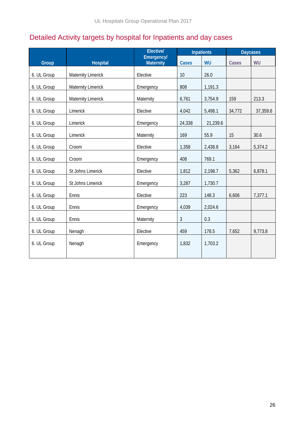## <span id="page-26-0"></span>Detailed Activity targets by hospital for Inpatients and day cases

|             |                           | <b>Elective/</b>        | <b>Inpatients</b> |           |        | <b>Daycases</b> |
|-------------|---------------------------|-------------------------|-------------------|-----------|--------|-----------------|
| Group       | <b>Hospital</b>           | Emergency/<br>Maternity | <b>Cases</b>      | <b>WU</b> | Cases  | WU              |
| 6. UL Group | <b>Maternity Limerick</b> | Elective                | 10                | 26.0      |        |                 |
| 6. UL Group | <b>Maternity Limerick</b> | Emergency               | 808               | 1,191.3   |        |                 |
| 6. UL Group | <b>Maternity Limerick</b> | Maternity               | 6,761             | 3,754.9   | 159    | 213.3           |
| 6. UL Group | Limerick                  | Elective                | 4,042             | 5,498.1   | 34,772 | 37,359.6        |
| 6. UL Group | Limerick                  | Emergency               | 24,338            | 21,239.6  |        |                 |
| 6. UL Group | Limerick                  | Maternity               | 169               | 55.9      | 15     | 30.6            |
| 6. UL Group | Croom                     | Elective                | 1,358             | 2,438.8   | 3,164  | 5,374.2         |
| 6. UL Group | Croom                     | Emergency               | 408               | 769.1     |        |                 |
| 6. UL Group | St Johns Limerick         | Elective                | 1,812             | 2,198.7   | 5,362  | 6,878.1         |
| 6. UL Group | St Johns Limerick         | Emergency               | 3,287             | 1,730.7   |        |                 |
| 6. UL Group | Ennis                     | Elective                | 223               | 148.3     | 6,606  | 7,377.1         |
| 6. UL Group | Ennis                     | Emergency               | 4,039             | 2,024.6   |        |                 |
| 6. UL Group | Ennis                     | Maternity               | $\mathfrak{Z}$    | 0.3       |        |                 |
| 6. UL Group | Nenagh                    | Elective                | 459               | 178.5     | 7,652  | 9,773.8         |
| 6. UL Group | Nenagh                    | Emergency               | 1,832             | 1,703.2   |        |                 |
|             |                           |                         |                   |           |        |                 |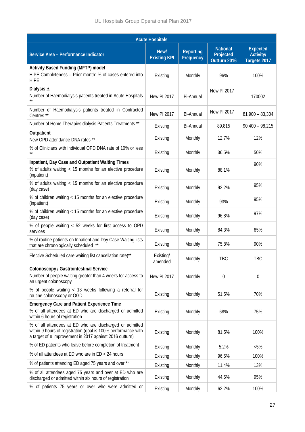| <b>Acute Hospitals</b>                                                                                                                                                                   |                             |                               |                                              |                                              |  |  |  |
|------------------------------------------------------------------------------------------------------------------------------------------------------------------------------------------|-----------------------------|-------------------------------|----------------------------------------------|----------------------------------------------|--|--|--|
| Service Area - Performance Indicator                                                                                                                                                     | New/<br><b>Existing KPI</b> | <b>Reporting</b><br>Frequency | <b>National</b><br>Projected<br>Outturn 2016 | <b>Expected</b><br>Activity/<br>Targets 2017 |  |  |  |
| <b>Activity Based Funding (MFTP) model</b><br>HIPE Completeness - Prior month: % of cases entered into<br><b>HIPE</b>                                                                    | Existing                    | Monthly                       | 96%                                          | 100%                                         |  |  |  |
| Dialysis $\Delta$<br>Number of Haemodialysis patients treated in Acute Hospitals                                                                                                         | <b>New PI 2017</b>          | <b>Bi-Annual</b>              | New PI 2017                                  | 170002                                       |  |  |  |
| Number of Haemodialysis patients treated in Contracted<br>Centres <sup>**</sup>                                                                                                          | <b>New PI 2017</b>          | <b>Bi-Annual</b>              | <b>New PI 2017</b>                           | $81,900 - 83,304$                            |  |  |  |
| Number of Home Therapies dialysis Patients Treatments **                                                                                                                                 | Existing                    | <b>Bi-Annual</b>              | 89,815                                       | $90,400 - 98,215$                            |  |  |  |
| Outpatient<br>New OPD attendance DNA rates **                                                                                                                                            | Existing                    | Monthly                       | 12.7%                                        | 12%                                          |  |  |  |
| % of Clinicians with individual OPD DNA rate of 10% or less                                                                                                                              | Existing                    | Monthly                       | 36.5%                                        | 50%                                          |  |  |  |
| Inpatient, Day Case and Outpatient Waiting Times<br>% of adults waiting < 15 months for an elective procedure<br>(inpatient)                                                             | Existing                    | Monthly                       | 88.1%                                        | 90%                                          |  |  |  |
| % of adults waiting < 15 months for an elective procedure<br>(day case)                                                                                                                  | Existing                    | Monthly                       | 92.2%                                        | 95%                                          |  |  |  |
| % of children waiting < 15 months for an elective procedure<br>(inpatient)                                                                                                               | Existing                    | Monthly                       | 93%                                          | 95%                                          |  |  |  |
| % of children waiting < 15 months for an elective procedure<br>(day case)                                                                                                                | Existing                    | Monthly                       | 96.8%                                        | 97%                                          |  |  |  |
| % of people waiting < 52 weeks for first access to OPD<br>services                                                                                                                       | Existing                    | Monthly                       | 84.3%                                        | 85%                                          |  |  |  |
| % of routine patients on Inpatient and Day Case Waiting lists<br>that are chronologically scheduled **                                                                                   | Existing                    | Monthly                       | 75.8%                                        | 90%                                          |  |  |  |
| Elective Scheduled care waiting list cancellation rate)**                                                                                                                                | Existing/<br>amended        | Monthly                       | TBC                                          | <b>TBC</b>                                   |  |  |  |
| Colonoscopy / Gastrointestinal Service<br>Number of people waiting greater than 4 weeks for access to<br>an urgent colonoscopy                                                           | <b>New PI 2017</b>          | Monthly                       | 0                                            | 0                                            |  |  |  |
| % of people waiting < 13 weeks following a referral for<br>routine colonoscopy or OGD                                                                                                    | Existing                    | Monthly                       | 51.5%                                        | 70%                                          |  |  |  |
| <b>Emergency Care and Patient Experience Time</b><br>% of all attendees at ED who are discharged or admitted<br>within 6 hours of registration                                           | Existing                    | Monthly                       | 68%                                          | 75%                                          |  |  |  |
| % of all attendees at ED who are discharged or admitted<br>within 9 hours of registration (goal is 100% performance with<br>a target of $\geq$ improvement in 2017 against 2016 outturn) | Existing                    | Monthly                       | 81.5%                                        | 100%                                         |  |  |  |
| % of ED patients who leave before completion of treatment                                                                                                                                | Existing                    | Monthly                       | 5.2%                                         | $< 5\%$                                      |  |  |  |
| % of all attendees at ED who are in ED < 24 hours                                                                                                                                        | Existing                    | Monthly                       | 96.5%                                        | 100%                                         |  |  |  |
| % of patients attending ED aged 75 years and over **                                                                                                                                     | Existing                    | Monthly                       | 11.4%                                        | 13%                                          |  |  |  |
| % of all attendees aged 75 years and over at ED who are<br>discharged or admitted within six hours of registration                                                                       | Existing                    | Monthly                       | 44.5%                                        | 95%                                          |  |  |  |
| % of patients 75 years or over who were admitted or                                                                                                                                      | Existing                    | Monthly                       | 62.2%                                        | 100%                                         |  |  |  |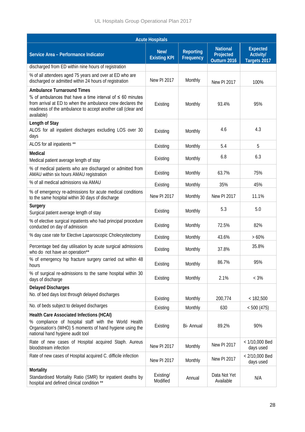| <b>Acute Hospitals</b>                                                                                                                                                                                     |                             |                               |                                              |                                                     |  |  |  |
|------------------------------------------------------------------------------------------------------------------------------------------------------------------------------------------------------------|-----------------------------|-------------------------------|----------------------------------------------|-----------------------------------------------------|--|--|--|
| Service Area - Performance Indicator                                                                                                                                                                       | New/<br><b>Existing KPI</b> | <b>Reporting</b><br>Frequency | <b>National</b><br>Projected<br>Outturn 2016 | <b>Expected</b><br><b>Activity/</b><br>Targets 2017 |  |  |  |
| discharged from ED within nine hours of registration                                                                                                                                                       |                             |                               |                                              |                                                     |  |  |  |
| % of all attendees aged 75 years and over at ED who are<br>discharged or admitted within 24 hours of registration                                                                                          | <b>New PI 2017</b>          | Monthly                       | <b>New PI 2017</b>                           | 100%                                                |  |  |  |
| <b>Ambulance Turnaround Times</b>                                                                                                                                                                          |                             |                               |                                              |                                                     |  |  |  |
| % of ambulances that have a time interval of $\leq 60$ minutes<br>from arrival at ED to when the ambulance crew declares the<br>readiness of the ambulance to accept another call (clear and<br>available) | Existing                    | Monthly                       | 93.4%                                        | 95%                                                 |  |  |  |
| Length of Stay<br>ALOS for all inpatient discharges excluding LOS over 30<br>days                                                                                                                          | Existing                    | Monthly                       | 4.6                                          | 4.3                                                 |  |  |  |
| ALOS for all inpatients **                                                                                                                                                                                 | Existing                    | Monthly                       | 5.4                                          | 5                                                   |  |  |  |
| Medical<br>Medical patient average length of stay                                                                                                                                                          | Existing                    | Monthly                       | 6.8                                          | 6.3                                                 |  |  |  |
| % of medical patients who are discharged or admitted from<br>AMAU within six hours AMAU registration                                                                                                       | Existing                    | Monthly                       | 63.7%                                        | 75%                                                 |  |  |  |
| % of all medical admissions via AMAU                                                                                                                                                                       | Existing                    | Monthly                       | 35%                                          | 45%                                                 |  |  |  |
| % of emergency re-admissions for acute medical conditions<br>to the same hospital within 30 days of discharge                                                                                              | New PI 2017                 | Monthly                       | New PI 2017                                  | 11.1%                                               |  |  |  |
| Surgery<br>Surgical patient average length of stay                                                                                                                                                         | Existing                    | Monthly                       | 5.3                                          | 5.0                                                 |  |  |  |
| % of elective surgical inpatients who had principal procedure<br>conducted on day of admission                                                                                                             | Existing                    | Monthly                       | 72.5%                                        | 82%                                                 |  |  |  |
| % day case rate for Elective Laparoscopic Cholecystectomy                                                                                                                                                  | Existing                    | Monthly                       | 43.6%                                        | >60%                                                |  |  |  |
| Percentage bed day utilisation by acute surgical admissions<br>who do not have an operation**                                                                                                              | Existing                    | Monthly                       | 37.8%                                        | 35.8%                                               |  |  |  |
| % of emergency hip fracture surgery carried out within 48<br>hours                                                                                                                                         | Existing                    | Monthly                       | 86.7%                                        | 95%                                                 |  |  |  |
| % of surgical re-admissions to the same hospital within 30<br>days of discharge                                                                                                                            | Existing                    | Monthly                       | 2.1%                                         | $< 3\%$                                             |  |  |  |
| <b>Delayed Discharges</b><br>No. of bed days lost through delayed discharges                                                                                                                               | Existing                    | Monthly                       | 200,774                                      | < 182,500                                           |  |  |  |
| No. of beds subject to delayed discharges                                                                                                                                                                  | Existing                    | Monthly                       | 630                                          | < 500(475)                                          |  |  |  |
| <b>Health Care Associated Infections (HCAI)</b><br>% compliance of hospital staff with the World Health<br>Organisation's (WHO) 5 moments of hand hygiene using the<br>national hand hygiene audit tool    | Existing                    | Bi- Annual                    | 89.2%                                        | 90%                                                 |  |  |  |
| Rate of new cases of Hospital acquired Staph. Aureus<br>bloodstream infection                                                                                                                              | New PI 2017                 | Monthly                       | New PI 2017                                  | < 1/10,000 Bed<br>days used                         |  |  |  |
| Rate of new cases of Hospital acquired C. difficile infection                                                                                                                                              | <b>New PI 2017</b>          | Monthly                       | New PI 2017                                  | $< 2/10,000$ Bed<br>days used                       |  |  |  |
| Mortality<br>Standardised Mortality Ratio (SMR) for inpatient deaths by<br>hospital and defined clinical condition **                                                                                      | Existing/<br>Modified       | Annual                        | Data Not Yet<br>Available                    | N/A                                                 |  |  |  |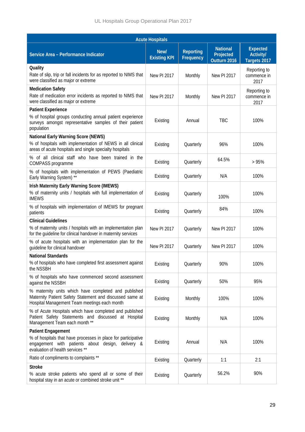| <b>Acute Hospitals</b>                                                                                                                                                              |                             |                               |                                              |                                                     |  |  |  |
|-------------------------------------------------------------------------------------------------------------------------------------------------------------------------------------|-----------------------------|-------------------------------|----------------------------------------------|-----------------------------------------------------|--|--|--|
| Service Area - Performance Indicator                                                                                                                                                | New/<br><b>Existing KPI</b> | <b>Reporting</b><br>Frequency | <b>National</b><br>Projected<br>Outturn 2016 | <b>Expected</b><br><b>Activity/</b><br>Targets 2017 |  |  |  |
| Quality<br>Rate of slip, trip or fall incidents for as reported to NIMS that<br>were classified as major or extreme                                                                 | <b>New PI 2017</b>          | Monthly                       | <b>New PI 2017</b>                           | Reporting to<br>commence in<br>2017                 |  |  |  |
| <b>Medication Safety</b><br>Rate of medication error incidents as reported to NIMS that<br>were classified as major or extreme                                                      | <b>New PI 2017</b>          | Monthly                       | <b>New PI 2017</b>                           | Reporting to<br>commence in<br>2017                 |  |  |  |
| <b>Patient Experience</b><br>% of hospital groups conducting annual patient experience<br>surveys amongst representative samples of their patient<br>population                     | Existing                    | Annual                        | <b>TBC</b>                                   | 100%                                                |  |  |  |
| <b>National Early Warning Score (NEWS)</b><br>% of hospitals with implementation of NEWS in all clinical<br>areas of acute hospitals and single specialty hospitals                 | Existing                    | Quarterly                     | 96%                                          | 100%                                                |  |  |  |
| % of all clinical staff who have been trained in the<br>COMPASS programme                                                                                                           | Existing                    | Quarterly                     | 64.5%                                        | >95%                                                |  |  |  |
| % of hospitals with implementation of PEWS (Paediatric<br>Early Warning System) **                                                                                                  | Existing                    | Quarterly                     | N/A                                          | 100%                                                |  |  |  |
| <b>Irish Maternity Early Warning Score (IMEWS)</b><br>% of maternity units / hospitals with full implementation of<br><b>IMEWS</b>                                                  | Existing                    | Quarterly                     | 100%                                         | 100%                                                |  |  |  |
| % of hospitals with implementation of IMEWS for pregnant<br>patients                                                                                                                | Existing                    | Quarterly                     | 84%                                          | 100%                                                |  |  |  |
| <b>Clinical Guidelines</b><br>% of maternity units / hospitals with an implementation plan<br>for the guideline for clinical handover in maternity services                         | <b>New PI 2017</b>          | Quarterly                     | <b>New PI 2017</b>                           | 100%                                                |  |  |  |
| % of acute hospitals with an implementation plan for the<br>guideline for clinical handover                                                                                         | <b>New PI 2017</b>          | Quarterly                     | <b>New PI 2017</b>                           | 100%                                                |  |  |  |
| <b>National Standards</b><br>% of hospitals who have completed first assessment against<br>the NSSBH                                                                                | Existing                    | Quarterly                     | 90%                                          | 100%                                                |  |  |  |
| % of hospitals who have commenced second assessment<br>against the NSSBH                                                                                                            | Existing                    | Quarterly                     | 50%                                          | 95%                                                 |  |  |  |
| % maternity units which have completed and published<br>Maternity Patient Safety Statement and discussed same at<br>Hospital Management Team meetings each month                    | Existing                    | Monthly                       | 100%                                         | 100%                                                |  |  |  |
| % of Acute Hospitals which have completed and published<br>Patient Safety Statements and discussed at Hospital<br>Management Team each month **                                     | Existing                    | Monthly                       | N/A                                          | 100%                                                |  |  |  |
| <b>Patient Engagement</b><br>% of hospitals that have processes in place for participative<br>engagement with patients about design, delivery &<br>evaluation of health services ** | Existing                    | Annual                        | N/A                                          | 100%                                                |  |  |  |
| Ratio of compliments to complaints **                                                                                                                                               | Existing                    | Quarterly                     | 1:1                                          | 2:1                                                 |  |  |  |
| <b>Stroke</b><br>% acute stroke patients who spend all or some of their<br>hospital stay in an acute or combined stroke unit **                                                     | Existing                    | Quarterly                     | 56.2%                                        | 90%                                                 |  |  |  |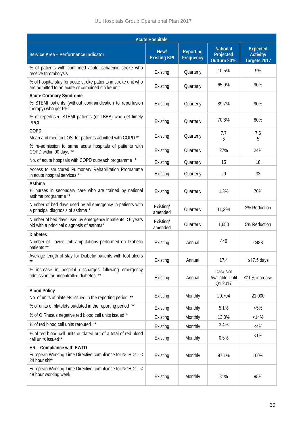|                                                                                                                      | <b>Acute Hospitals</b>      |                               |                                              |                                                     |
|----------------------------------------------------------------------------------------------------------------------|-----------------------------|-------------------------------|----------------------------------------------|-----------------------------------------------------|
| Service Area - Performance Indicator                                                                                 | New/<br><b>Existing KPI</b> | <b>Reporting</b><br>Frequency | <b>National</b><br>Projected<br>Outturn 2016 | <b>Expected</b><br><b>Activity/</b><br>Targets 2017 |
| % of patients with confirmed acute ischaemic stroke who<br>receive thrombolysis                                      | Existing                    | Quarterly                     | 10.5%                                        | 9%                                                  |
| % of hospital stay for acute stroke patients in stroke unit who<br>are admitted to an acute or combined stroke unit  | Existing                    | Quarterly                     | 65.9%                                        | 90%                                                 |
| <b>Acute Coronary Syndrome</b><br>% STEMI patients (without contraindication to reperfusion<br>therapy) who get PPCI | Existing                    | Quarterly                     | 89.7%                                        | 90%                                                 |
| % of reperfused STEMI patients (or LBBB) who get timely<br><b>PPCI</b>                                               | Existing                    | Quarterly                     | 70.8%                                        | 80%                                                 |
| <b>COPD</b><br>Mean and median LOS for patients admitted with COPD <sup>**</sup>                                     | Existing                    | Quarterly                     | 7.7<br>5                                     | 7.6<br>5                                            |
| % re-admission to same acute hospitals of patients with<br>COPD within 90 days **                                    | Existing                    | Quarterly                     | 27%                                          | 24%                                                 |
| No. of acute hospitals with COPD outreach programme **                                                               | Existing                    | Quarterly                     | 15                                           | 18                                                  |
| Access to structured Pulmonary Rehabilitation Programme<br>in acute hospital services **                             | Existing                    | Quarterly                     | 29                                           | 33                                                  |
| Asthma<br>% nurses in secondary care who are trained by national<br>asthma programme **                              | Existing                    | Quarterly                     | 1.3%                                         | 70%                                                 |
| Number of bed days used by all emergency in-patients with<br>a principal diagnosis of asthma**                       | Existing/<br>amended        | Quarterly                     | 11,394                                       | 3% Reduction                                        |
| Number of bed days used by emergency inpatients < 6 years<br>old with a principal diagnosis of asthma**              | Existing/<br>amended        | Quarterly                     | 1,650                                        | 5% Reduction                                        |
| <b>Diabetes</b><br>Number of lower limb amputations performed on Diabetic<br>patients **                             | Existing                    | Annual                        | 449                                          | < 488                                               |
| Average length of stay for Diabetic patients with foot ulcers<br>$***$                                               | Existing                    | Annual                        | 17.4                                         | ≤17.5 days                                          |
| % increase in hospital discharges following emergency<br>admission for uncontrolled diabetes. **                     | Existing                    | Annual                        | Data Not<br>Available Until<br>Q1 2017       | $≤10%$ increase                                     |
| <b>Blood Policy</b><br>No. of units of platelets issued in the reporting period                                      | Existing                    | Monthly                       | 20,704                                       | 21,000                                              |
| % of units of platelets outdated in the reporting period **                                                          | Existing                    | Monthly                       | 5.1%                                         | $< 5\%$                                             |
| % of O Rhesus negative red blood cell units issued **                                                                | Existing                    | Monthly                       | 13.3%                                        | < 14%                                               |
| % of red blood cell units rerouted **                                                                                | Existing                    | Monthly                       | 3.4%                                         | $<$ 4%                                              |
| % of red blood cell units outdated out of a total of red blood<br>cell units issued**                                | Existing                    | Monthly                       | 0.5%                                         | $< 1\%$                                             |
| HR - Compliance with EWTD<br>European Working Time Directive compliance for NCHDs - <<br>24 hour shift               | Existing                    | Monthly                       | 97.1%                                        | 100%                                                |
| European Working Time Directive compliance for NCHDs - <<br>48 hour working week                                     | Existing                    | Monthly                       | 81%                                          | 95%                                                 |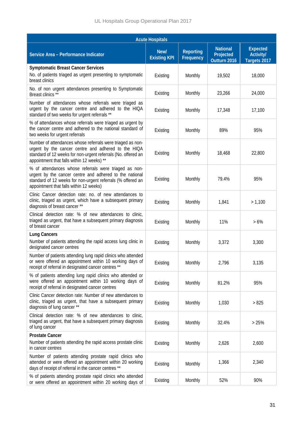| <b>Acute Hospitals</b>                                                                                                                                                                                                           |                             |                               |                                              |                                                     |  |  |  |
|----------------------------------------------------------------------------------------------------------------------------------------------------------------------------------------------------------------------------------|-----------------------------|-------------------------------|----------------------------------------------|-----------------------------------------------------|--|--|--|
| Service Area - Performance Indicator                                                                                                                                                                                             | New/<br><b>Existing KPI</b> | <b>Reporting</b><br>Frequency | <b>National</b><br>Projected<br>Outturn 2016 | <b>Expected</b><br><b>Activity/</b><br>Targets 2017 |  |  |  |
| <b>Symptomatic Breast Cancer Services</b><br>No. of patients triaged as urgent presenting to symptomatic<br>breast clinics                                                                                                       | Existing                    | Monthly                       | 19,502                                       | 18,000                                              |  |  |  |
| No. of non urgent attendances presenting to Symptomatic<br>Breast clinics **                                                                                                                                                     | Existing                    | Monthly                       | 23,266                                       | 24,000                                              |  |  |  |
| Number of attendances whose referrals were triaged as<br>urgent by the cancer centre and adhered to the HIQA<br>standard of two weeks for urgent referrals **                                                                    | Existing                    | Monthly                       | 17,348                                       | 17,100                                              |  |  |  |
| % of attendances whose referrals were triaged as urgent by<br>the cancer centre and adhered to the national standard of<br>two weeks for urgent referrals                                                                        | Existing                    | Monthly                       | 89%                                          | 95%                                                 |  |  |  |
| Number of attendances whose referrals were triaged as non-<br>urgent by the cancer centre and adhered to the HIQA<br>standard of 12 weeks for non-urgent referrals (No. offered an<br>appointment that falls within 12 weeks) ** | Existing                    | Monthly                       | 18,468                                       | 22,800                                              |  |  |  |
| % of attendances whose referrals were triaged as non-<br>urgent by the cancer centre and adhered to the national<br>standard of 12 weeks for non-urgent referrals (% offered an<br>appointment that falls within 12 weeks)       | Existing                    | Monthly                       | 79.4%                                        | 95%                                                 |  |  |  |
| Clinic Cancer detection rate: no. of new attendances to<br>clinic, triaged as urgent, which have a subsequent primary<br>diagnosis of breast cancer **                                                                           | Existing                    | Monthly                       | 1,841                                        | > 1,100                                             |  |  |  |
| Clinical detection rate: % of new attendances to clinic,<br>triaged as urgent, that have a subsequent primary diagnosis<br>of breast cancer                                                                                      | Existing                    | Monthly                       | 11%                                          | $>6\%$                                              |  |  |  |
| <b>Lung Cancers</b><br>Number of patients attending the rapid access lung clinic in<br>designated cancer centres                                                                                                                 | Existing                    | Monthly                       | 3,372                                        | 3,300                                               |  |  |  |
| Number of patients attending lung rapid clinics who attended<br>or were offered an appointment within 10 working days of<br>receipt of referral in designated cancer centres **                                                  | Existing                    | Monthly                       | 2,796                                        | 3,135                                               |  |  |  |
| % of patients attending lung rapid clinics who attended or<br>were offered an appointment within 10 working days of<br>receipt of referral in designated cancer centres                                                          | Existing                    | Monthly                       | 81.2%                                        | 95%                                                 |  |  |  |
| Clinic Cancer detection rate: Number of new attendances to<br>clinic, triaged as urgent, that have a subsequent primary<br>diagnosis of lung cancer **                                                                           | Existing                    | Monthly                       | 1,030                                        | > 825                                               |  |  |  |
| Clinical detection rate: % of new attendances to clinic,<br>triaged as urgent, that have a subsequent primary diagnosis<br>of lung cancer                                                                                        | Existing                    | Monthly                       | 32.4%                                        | >25%                                                |  |  |  |
| <b>Prostate Cancer</b><br>Number of patients attending the rapid access prostate clinic<br>in cancer centres                                                                                                                     | Existing                    | Monthly                       | 2,626                                        | 2,600                                               |  |  |  |
| Number of patients attending prostate rapid clinics who<br>attended or were offered an appointment within 20 working<br>days of receipt of referral in the cancer centres **                                                     | Existing                    | Monthly                       | 1,366                                        | 2,340                                               |  |  |  |
| % of patients attending prostate rapid clinics who attended<br>or were offered an appointment within 20 working days of                                                                                                          | Existing                    | Monthly                       | 52%                                          | 90%                                                 |  |  |  |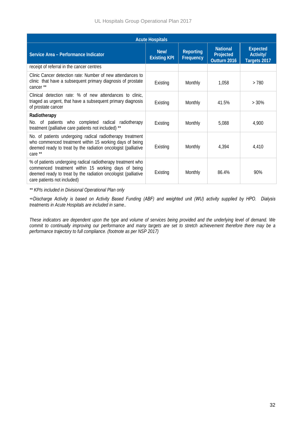| <b>Acute Hospitals</b>                                                                                                                                                                                             |                             |                               |                                              |                                                     |  |  |  |
|--------------------------------------------------------------------------------------------------------------------------------------------------------------------------------------------------------------------|-----------------------------|-------------------------------|----------------------------------------------|-----------------------------------------------------|--|--|--|
| Service Area - Performance Indicator                                                                                                                                                                               | New/<br><b>Existing KPI</b> | <b>Reporting</b><br>Frequency | <b>National</b><br>Projected<br>Outturn 2016 | <b>Expected</b><br><b>Activity/</b><br>Targets 2017 |  |  |  |
| receipt of referral in the cancer centres                                                                                                                                                                          |                             |                               |                                              |                                                     |  |  |  |
| Clinic Cancer detection rate: Number of new attendances to<br>clinic that have a subsequent primary diagnosis of prostate<br>cancer **                                                                             | Existing<br>Monthly         |                               | 1.058                                        | >780                                                |  |  |  |
| Clinical detection rate: % of new attendances to clinic,<br>triaged as urgent, that have a subsequent primary diagnosis<br>of prostate cancer                                                                      | Monthly<br>Existing         |                               | 41.5%                                        | $>30\%$                                             |  |  |  |
| Radiotherapy                                                                                                                                                                                                       |                             |                               |                                              |                                                     |  |  |  |
| No. of patients who completed radical radiotherapy<br>treatment (palliative care patients not included) **                                                                                                         | Existing                    | Monthly                       | 5,088                                        | 4,900                                               |  |  |  |
| No. of patients undergoing radical radiotherapy treatment<br>who commenced treatment within 15 working days of being<br>deemed ready to treat by the radiation oncologist (palliative<br>care **                   | Existing                    | Monthly                       | 4,394                                        | 4,410                                               |  |  |  |
| % of patients undergoing radical radiotherapy treatment who<br>commenced treatment within 15 working days of being<br>deemed ready to treat by the radiation oncologist (palliative<br>care patients not included) | Existing                    | Monthly                       | 86.4%                                        | 90%                                                 |  |  |  |

*\*\* KPIs included in Divisional Operational Plan only* 

*∞Discharge Activity is based on Activity Based Funding (ABF) and weighted unit (WU) activity supplied by HPO. Dialysis treatments in Acute Hospitals are included in same..* 

*These indicators are dependent upon the type and volume of services being provided and the underlying level of demand. We commit to continually improving our performance and many targets are set to stretch achievement therefore there may be a performance trajectory to full compliance. (footnote as per NSP 2017)*